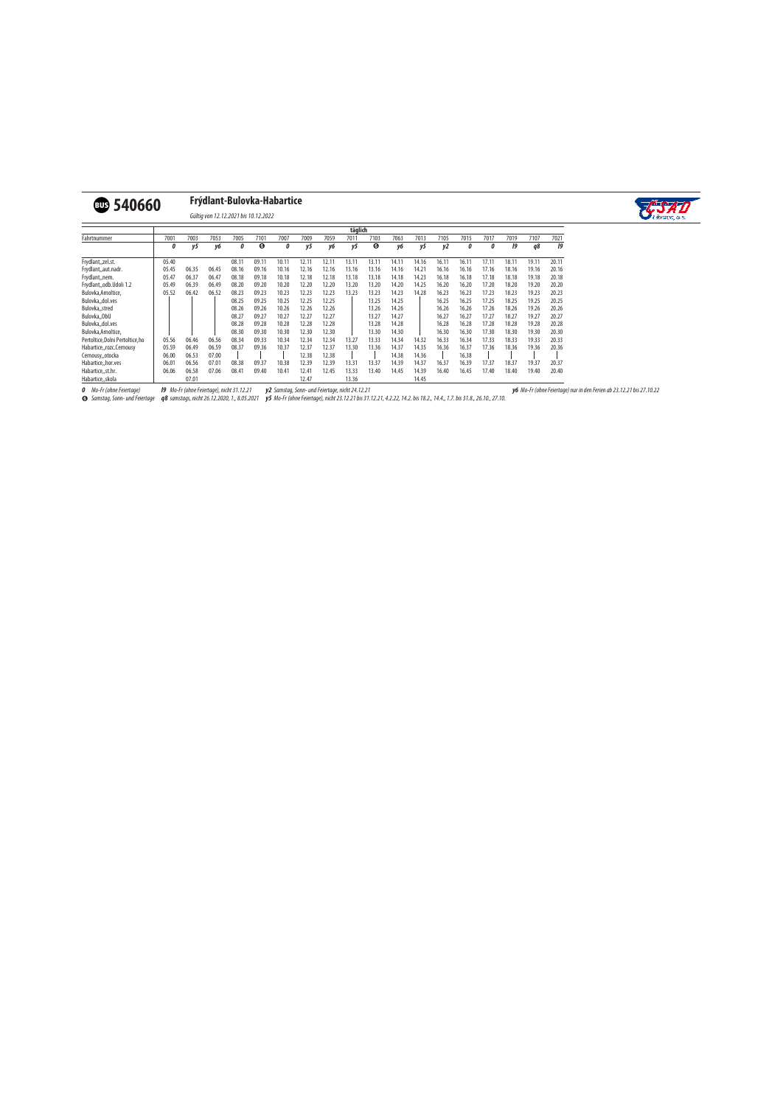## v**540660 Frýdlant-Bulovka-Habartice**



Gültig von 12.12.2021 bis 10.12.2022

|                                | täglich |       |       |       |       |       |       |       |                   |       |       |       |       |       |       |       |       |       |
|--------------------------------|---------|-------|-------|-------|-------|-------|-------|-------|-------------------|-------|-------|-------|-------|-------|-------|-------|-------|-------|
| Fahrtnummer                    | 7001    | 7003  | 7053  | 7005  | 7101  | 7007  | 7009  | 7059  | 701'              | 7103  | 7063  | 7013  | 7105  | 7015  | 7017  | 7019  | 7107  | 7021  |
|                                | 0       | ν5    | v6    | 0     | ❻     | 0     | v5    | yб    | ν5                | 6     | v6    | у5    | y2    | 0     |       | 19    | q8    | 19    |
| Frydlant, zel.st.              | 05.40   |       |       | 08.11 | 09.11 | 10.1  | 12.1  | 12.1  | 13.1 <sup>.</sup> | 13.1  | 14.11 | 14.16 | 16.1  | 16.1  | 17.11 | 18.11 | 19.1  | 20.11 |
| Frydlant,,aut.nadr.            | 05.45   | 06.35 | 06.45 | 08.16 | 09.16 | 10.16 | 12.16 | 12.16 | 13.16             | 13.16 | 14.16 | 14.21 | 16.16 | 16.16 | 17.16 | 18.16 | 19.16 | 20.16 |
| Frydlant, nem.                 | 05.47   | 06.37 | 06.47 | 08.18 | 09.18 | 10.18 | 12.18 | 12.18 | 13.18             | 13.18 | 14.18 | 14.23 | 16.18 | 16.18 | 17.18 | 18.18 | 19.18 | 20.18 |
| Frydlant,,odb.Udoli 1.2        | 05.49   | 06.39 | 06.49 | 08.20 | 09.20 | 10.20 | 12.20 | 12.20 | 13.20             | 13.20 | 14.20 | 14.25 | 16.20 | 16.20 | 17.20 | 18.20 | 19.20 | 20.20 |
| Bulovka, Arnoltice,            | 05.52   | 06.42 | 06.52 | 08.23 | 09.23 | 10.23 | 12.23 | 12.23 | 13.23             | 13.23 | 14.23 | 14.28 | 16.23 | 16.23 | 17.23 | 18.23 | 19.23 | 20.23 |
| Bulovkadol.ves                 |         |       |       | 08.25 | 09.25 | 10.25 | 12.25 | 12.25 |                   | 13.25 | 14.25 |       | 16.25 | 16.25 | 17.25 | 18.25 | 19.25 | 20.25 |
| Bulovka,, stred                |         |       |       | 08.26 | 09.26 | 10.26 | 12.26 | 12.26 |                   | 13.26 | 14.26 |       | 16.26 | 16.26 | 17.26 | 18.26 | 19.26 | 20.26 |
| Bulovka,, ObU                  |         |       |       | 08.27 | 09.27 | 10.27 | 12.27 | 12.27 |                   | 13.27 | 14.27 |       | 16.27 | 16.27 | 17.27 | 18.27 | 19.27 | 20.27 |
| Bulovkadol.ves                 |         |       |       | 08.28 | 09.28 | 10.28 | 12.28 | 12.28 |                   | 13.28 | 14.28 |       | 16.28 | 16.28 | 17.28 | 18.28 | 19.28 | 20.28 |
| Bulovka, Arnoltice,            |         |       |       | 08.30 | 09.30 | 10.30 | 12.30 | 12.30 |                   | 13.30 | 14.30 |       | 16.30 | 16.30 | 17.30 | 18.30 | 19.30 | 20.30 |
| Pertoltice.Dolni Pertoltice.ho | 05.56   | 06.46 | 06.56 | 08.34 | 09.33 | 10.34 | 12.34 | 12.34 | 13.27             | 13.33 | 14.34 | 14.32 | 16.33 | 16.34 | 17.33 | 18.33 | 19.33 | 20.33 |
| Habartice,,rozc.Cernousy       | 05.59   | 06.49 | 06.59 | 08.37 | 09.36 | 10.37 | 12.37 | 12.37 | 13.30             | 13.36 | 14.37 | 14.35 | 16.36 | 16.37 | 17.36 | 18.36 | 19.36 | 20.36 |
| Cernousy, otocka               | 06.00   | 06.53 | 07.00 |       |       |       | 12.38 | 12.38 |                   |       | 14.38 | 14.36 |       | 16.38 |       |       |       |       |
| Habartice, hor.ves             | 06.01   | 06.56 | 07.01 | 08.38 | 09.37 | 10.38 | 12.39 | 12.39 | 13.31             | 13.37 | 14.39 | 14.37 | 16.37 | 16.39 | 17.37 | 18.37 | 19.3  | 20.37 |
| Habartice,, st.hr.             | 06.06   | 06.58 | 07.06 | 08.41 | 09.40 | 10.41 | 12.41 | 12.45 | 13.33             | 13.40 | 14.45 | 14.39 | 16.40 | 16.45 | 17.40 | 18.40 | 19.40 | 20.40 |
| Habarticeskola                 |         | 07.01 |       |       |       |       | 12.47 |       | 13.36             |       |       | 14.45 |       |       |       |       |       |       |

**0** Mo-Fr (ohne Feiertage)

**l9** Mo-Fr (ohne Feiertage), nicht 31.12.21 **y2** Samstag, Sonn- und Feiertage, nicht 24.12.21

**y6** Mo-Fr (ohne Feiertage) nur in den Ferien ab 23.12.21 bis 27.10.22

6 Samstag, Sonn- und Feiertage **q8** samstags, nicht 26.12.2020, 1., 8.05.2021 **y5** Mo-Fr (ohne Feiertage), nicht 23.12.21 bis 31.12.21, 4.2.22, 14.2. bis 18.2., 14.4., 1.7. bis 31.8., 26.10., 27.10.